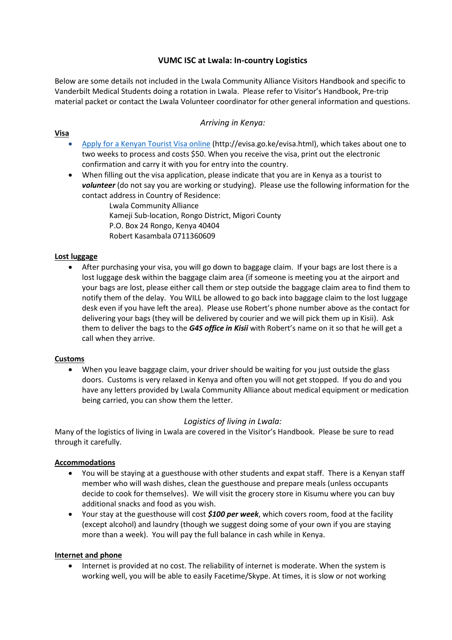# **VUMC ISC at Lwala: In-country Logistics**

Below are some details not included in the Lwala Community Alliance Visitors Handbook and specific to Vanderbilt Medical Students doing a rotation in Lwala. Please refer to Visitor's Handbook, Pre-trip material packet or contact the Lwala Volunteer coordinator for other general information and questions.

# *Arriving in Kenya:*

# **Visa**

- [Apply for a Kenyan Tourist Visa online](http://evisa.go.ke/evisa.html) (http://evisa.go.ke/evisa.html), which takes about one to two weeks to process and costs \$50. When you receive the visa, print out the electronic confirmation and carry it with you for entry into the country.
- When filling out the visa application, please indicate that you are in Kenya as a tourist to *volunteer* (do not say you are working or studying). Please use the following information for the contact address in Country of Residence:

Lwala Community Alliance Kameji Sub-location, Rongo District, Migori County P.O. Box 24 Rongo, Kenya 40404 Robert Kasambala 0711360609

## **Lost luggage**

• After purchasing your visa, you will go down to baggage claim. If your bags are lost there is a lost luggage desk within the baggage claim area (if someone is meeting you at the airport and your bags are lost, please either call them or step outside the baggage claim area to find them to notify them of the delay. You WILL be allowed to go back into baggage claim to the lost luggage desk even if you have left the area). Please use Robert's phone number above as the contact for delivering your bags (they will be delivered by courier and we will pick them up in Kisii). Ask them to deliver the bags to the *G4S office in Kisii* with Robert's name on it so that he will get a call when they arrive.

## **Customs**

• When you leave baggage claim, your driver should be waiting for you just outside the glass doors. Customs is very relaxed in Kenya and often you will not get stopped. If you do and you have any letters provided by Lwala Community Alliance about medical equipment or medication being carried, you can show them the letter.

# *Logistics of living in Lwala:*

Many of the logistics of living in Lwala are covered in the Visitor's Handbook. Please be sure to read through it carefully.

## **Accommodations**

- You will be staying at a guesthouse with other students and expat staff. There is a Kenyan staff member who will wash dishes, clean the guesthouse and prepare meals (unless occupants decide to cook for themselves). We will visit the grocery store in Kisumu where you can buy additional snacks and food as you wish.
- Your stay at the guesthouse will cost *\$100 per week*, which covers room, food at the facility (except alcohol) and laundry (though we suggest doing some of your own if you are staying more than a week). You will pay the full balance in cash while in Kenya.

## **Internet and phone**

• Internet is provided at no cost. The reliability of internet is moderate. When the system is working well, you will be able to easily Facetime/Skype. At times, it is slow or not working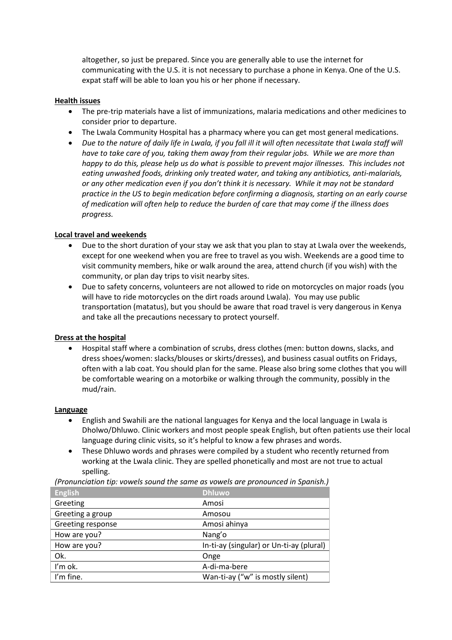altogether, so just be prepared. Since you are generally able to use the internet for communicating with the U.S. it is not necessary to purchase a phone in Kenya. One of the U.S. expat staff will be able to loan you his or her phone if necessary.

### **Health issues**

- The pre-trip materials have a list of immunizations, malaria medications and other medicines to consider prior to departure.
- The Lwala Community Hospital has a pharmacy where you can get most general medications.
- Due to the nature of daily life in Lwala, if you fall ill it will often necessitate that Lwala staff will *have to take care of you, taking them away from their regular jobs. While we are more than happy to do this, please help us do what is possible to prevent major illnesses. This includes not eating unwashed foods, drinking only treated water, and taking any antibiotics, anti-malarials, or any other medication even if you don't think it is necessary. While it may not be standard practice in the US to begin medication before confirming a diagnosis, starting on an early course of medication will often help to reduce the burden of care that may come if the illness does progress.*

### **Local travel and weekends**

- Due to the short duration of your stay we ask that you plan to stay at Lwala over the weekends, except for one weekend when you are free to travel as you wish. Weekends are a good time to visit community members, hike or walk around the area, attend church (if you wish) with the community, or plan day trips to visit nearby sites.
- Due to safety concerns, volunteers are not allowed to ride on motorcycles on major roads (you will have to ride motorcycles on the dirt roads around Lwala). You may use public transportation (matatus), but you should be aware that road travel is very dangerous in Kenya and take all the precautions necessary to protect yourself.

#### **Dress at the hospital**

• Hospital staff where a combination of scrubs, dress clothes (men: button downs, slacks, and dress shoes/women: slacks/blouses or skirts/dresses), and business casual outfits on Fridays, often with a lab coat. You should plan for the same. Please also bring some clothes that you will be comfortable wearing on a motorbike or walking through the community, possibly in the mud/rain.

#### **Language**

- English and Swahili are the national languages for Kenya and the local language in Lwala is Dholwo/Dhluwo. Clinic workers and most people speak English, but often patients use their local language during clinic visits, so it's helpful to know a few phrases and words.
- These Dhluwo words and phrases were compiled by a student who recently returned from working at the Lwala clinic. They are spelled phonetically and most are not true to actual spelling.

*(Pronunciation tip: vowels sound the same as vowels are pronounced in Spanish.)*

| <b>English</b>    | <b>Dhluwo</b>                            |
|-------------------|------------------------------------------|
| Greeting          | Amosi                                    |
| Greeting a group  | Amosou                                   |
| Greeting response | Amosi ahinya                             |
| How are you?      | Nang'o                                   |
| How are you?      | In-ti-ay (singular) or Un-ti-ay (plural) |
| Ok.               | Onge                                     |
| I'm ok.           | A-di-ma-bere                             |
| I'm fine.         | Wan-ti-ay ("w" is mostly silent)         |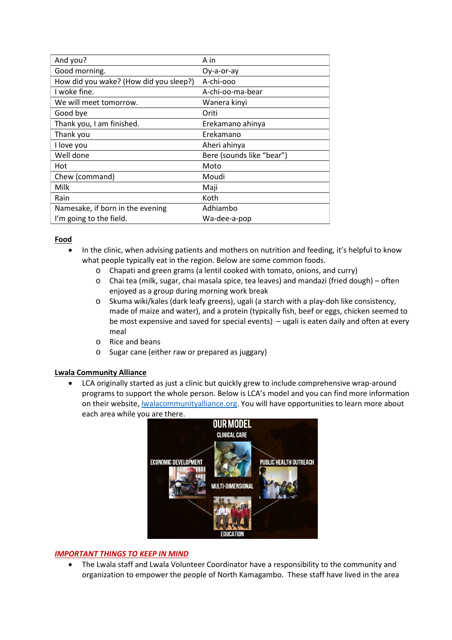| And you?                               | A in                      |
|----------------------------------------|---------------------------|
| Good morning.                          | Oy-a-or-ay                |
| How did you wake? (How did you sleep?) | A-chi-ooo                 |
| I woke fine.                           | A-chi-oo-ma-bear          |
| We will meet tomorrow.                 | Wanera kinyi              |
| Good bye                               | Oriti                     |
| Thank you, I am finished.              | Erekamano ahinya          |
| Thank you                              | Erekamano                 |
| I love you                             | Aheri ahinya              |
| Well done                              | Bere (sounds like "bear") |
| Hot                                    | Moto                      |
| Chew (command)                         | Moudi                     |
| Milk                                   | Maji                      |
| Rain                                   | Koth                      |
| Namesake, if born in the evening       | Adhiambo                  |
| I'm going to the field.                | Wa-dee-a-pop              |

## **Food**

- In the clinic, when advising patients and mothers on nutrition and feeding, it's helpful to know what people typically eat in the region. Below are some common foods.
	- o Chapati and green grams (a lentil cooked with tomato, onions, and curry)
	- o Chai tea (milk, sugar, chai masala spice, tea leaves) and mandazi (fried dough) often enjoyed as a group during morning work break
	- o Skuma wiki/kales (dark leafy greens), ugali (a starch with a play-doh like consistency, made of maize and water), and a protein (typically fish, beef or eggs, chicken seemed to be most expensive and saved for special events) – ugali is eaten daily and often at every meal
	- o Rice and beans
	- o Sugar cane (either raw or prepared as juggary)

## **Lwala Community Alliance**

• LCA originally started as just a clinic but quickly grew to include comprehensive wrap-around programs to support the whole person. Below is LCA's model and you can find more information on their website, *lwalacommunityalliance.org*. You will have opportunities to learn more about each area while you are there.



## *IMPORTANT THINGS TO KEEP IN MIND*

• The Lwala staff and Lwala Volunteer Coordinator have a responsibility to the community and organization to empower the people of North Kamagambo. These staff have lived in the area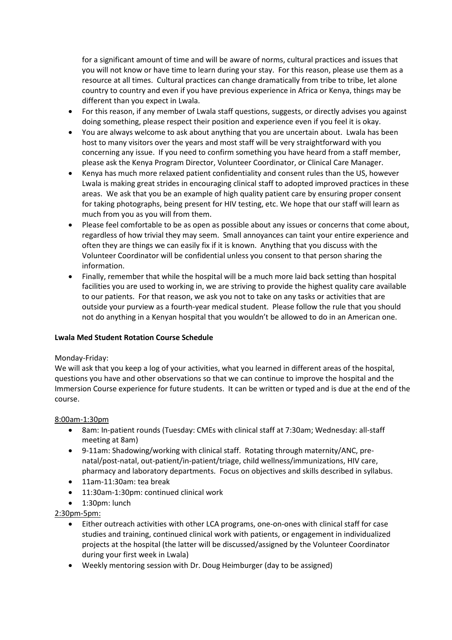for a significant amount of time and will be aware of norms, cultural practices and issues that you will not know or have time to learn during your stay. For this reason, please use them as a resource at all times. Cultural practices can change dramatically from tribe to tribe, let alone country to country and even if you have previous experience in Africa or Kenya, things may be different than you expect in Lwala.

- For this reason, if any member of Lwala staff questions, suggests, or directly advises you against doing something, please respect their position and experience even if you feel it is okay.
- You are always welcome to ask about anything that you are uncertain about. Lwala has been host to many visitors over the years and most staff will be very straightforward with you concerning any issue. If you need to confirm something you have heard from a staff member, please ask the Kenya Program Director, Volunteer Coordinator, or Clinical Care Manager.
- Kenya has much more relaxed patient confidentiality and consent rules than the US, however Lwala is making great strides in encouraging clinical staff to adopted improved practices in these areas. We ask that you be an example of high quality patient care by ensuring proper consent for taking photographs, being present for HIV testing, etc. We hope that our staff will learn as much from you as you will from them.
- Please feel comfortable to be as open as possible about any issues or concerns that come about, regardless of how trivial they may seem. Small annoyances can taint your entire experience and often they are things we can easily fix if it is known. Anything that you discuss with the Volunteer Coordinator will be confidential unless you consent to that person sharing the information.
- Finally, remember that while the hospital will be a much more laid back setting than hospital facilities you are used to working in, we are striving to provide the highest quality care available to our patients. For that reason, we ask you not to take on any tasks or activities that are outside your purview as a fourth-year medical student. Please follow the rule that you should not do anything in a Kenyan hospital that you wouldn't be allowed to do in an American one.

## **Lwala Med Student Rotation Course Schedule**

## Monday-Friday:

We will ask that you keep a log of your activities, what you learned in different areas of the hospital, questions you have and other observations so that we can continue to improve the hospital and the Immersion Course experience for future students. It can be written or typed and is due at the end of the course.

#### 8:00am-1:30pm

- 8am: In-patient rounds (Tuesday: CMEs with clinical staff at 7:30am; Wednesday: all-staff meeting at 8am)
- 9-11am: Shadowing/working with clinical staff. Rotating through maternity/ANC, prenatal/post-natal, out-patient/in-patient/triage, child wellness/immunizations, HIV care, pharmacy and laboratory departments. Focus on objectives and skills described in syllabus.
- 11am-11:30am: tea break
- 11:30am-1:30pm: continued clinical work
- 1:30pm: lunch
- 2:30pm-5pm:
	- Either outreach activities with other LCA programs, one-on-ones with clinical staff for case studies and training, continued clinical work with patients, or engagement in individualized projects at the hospital (the latter will be discussed/assigned by the Volunteer Coordinator during your first week in Lwala)
	- Weekly mentoring session with Dr. Doug Heimburger (day to be assigned)